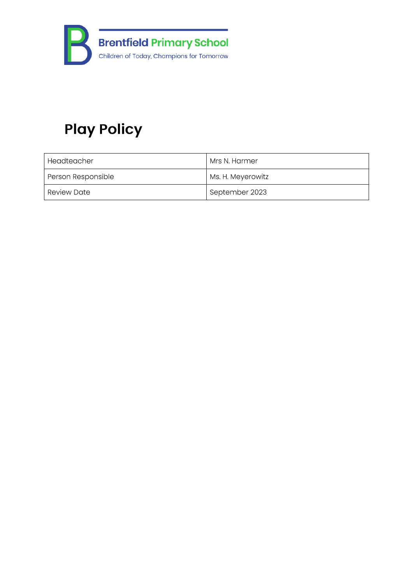

# **Play Policy**

| Headteacher        | Mrs N. Harmer     |
|--------------------|-------------------|
| Person Responsible | Ms. H. Meyerowitz |
| Review Date        | September 2023    |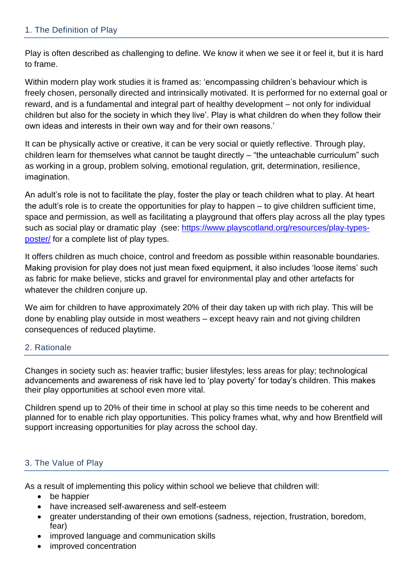Play is often described as challenging to define. We know it when we see it or feel it, but it is hard to frame.

Within modern play work studies it is framed as: 'encompassing children's behaviour which is freely chosen, personally directed and intrinsically motivated. It is performed for no external goal or reward, and is a fundamental and integral part of healthy development – not only for individual children but also for the society in which they live'. Play is what children do when they follow their own ideas and interests in their own way and for their own reasons.'

It can be physically active or creative, it can be very social or quietly reflective. Through play, children learn for themselves what cannot be taught directly – "the unteachable curriculum" such as working in a group, problem solving, emotional regulation, grit, determination, resilience, imagination.

An adult's role is not to facilitate the play, foster the play or teach children what to play. At heart the adult's role is to create the opportunities for play to happen – to give children sufficient time, space and permission, as well as facilitating a playground that offers play across all the play types such as social play or dramatic play (see: [https://www.playscotland.org/resources/play-types](https://www.playscotland.org/resources/play-types-poster/)[poster/](https://www.playscotland.org/resources/play-types-poster/) for a complete list of play types.

It offers children as much choice, control and freedom as possible within reasonable boundaries. Making provision for play does not just mean fixed equipment, it also includes 'loose items' such as fabric for make believe, sticks and gravel for environmental play and other artefacts for whatever the children conjure up.

We aim for children to have approximately 20% of their day taken up with rich play. This will be done by enabling play outside in most weathers – except heavy rain and not giving children consequences of reduced playtime.

# 2. Rationale

Changes in society such as: heavier traffic; busier lifestyles; less areas for play; technological advancements and awareness of risk have led to 'play poverty' for today's children. This makes their play opportunities at school even more vital.

Children spend up to 20% of their time in school at play so this time needs to be coherent and planned for to enable rich play opportunities. This policy frames what, why and how Brentfield will support increasing opportunities for play across the school day.

# 3. The Value of Play

As a result of implementing this policy within school we believe that children will:

- be happier
- have increased self-awareness and self-esteem
- greater understanding of their own emotions (sadness, rejection, frustration, boredom, fear)
- improved language and communication skills
- improved concentration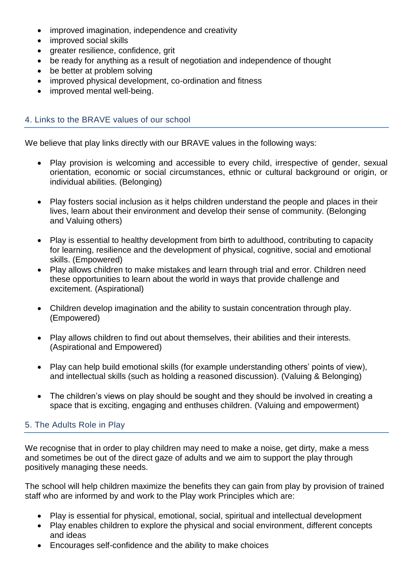- improved imagination, independence and creativity
- improved social skills
- greater resilience, confidence, grit
- be ready for anything as a result of negotiation and independence of thought
- be better at problem solving
- improved physical development, co-ordination and fitness
- improved mental well-being.

#### 4. Links to the BRAVE values of our school

We believe that play links directly with our BRAVE values in the following ways:

- Play provision is welcoming and accessible to every child, irrespective of gender, sexual orientation, economic or social circumstances, ethnic or cultural background or origin, or individual abilities. (Belonging)
- Play fosters social inclusion as it helps children understand the people and places in their lives, learn about their environment and develop their sense of community. (Belonging and Valuing others)
- Play is essential to healthy development from birth to adulthood, contributing to capacity for learning, resilience and the development of physical, cognitive, social and emotional skills. (Empowered)
- Play allows children to make mistakes and learn through trial and error. Children need these opportunities to learn about the world in ways that provide challenge and excitement. (Aspirational)
- Children develop imagination and the ability to sustain concentration through play. (Empowered)
- Play allows children to find out about themselves, their abilities and their interests. (Aspirational and Empowered)
- Play can help build emotional skills (for example understanding others' points of view), and intellectual skills (such as holding a reasoned discussion). (Valuing & Belonging)
- The children's views on play should be sought and they should be involved in creating a space that is exciting, engaging and enthuses children. (Valuing and empowerment)

# 5. The Adults Role in Play

We recognise that in order to play children may need to make a noise, get dirty, make a mess and sometimes be out of the direct gaze of adults and we aim to support the play through positively managing these needs.

The school will help children maximize the benefits they can gain from play by provision of trained staff who are informed by and work to the Play work Principles which are:

- Play is essential for physical, emotional, social, spiritual and intellectual development
- Play enables children to explore the physical and social environment, different concepts and ideas
- Encourages self-confidence and the ability to make choices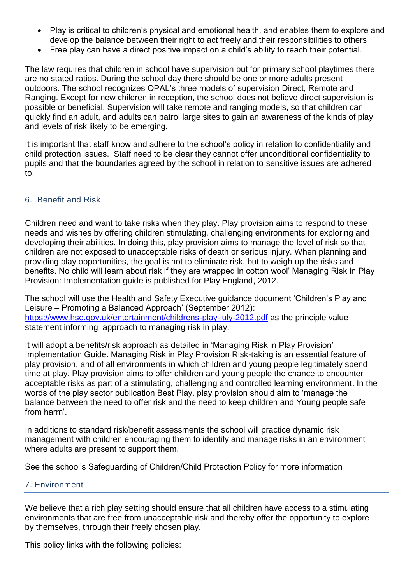- Play is critical to children's physical and emotional health, and enables them to explore and develop the balance between their right to act freely and their responsibilities to others
- Free play can have a direct positive impact on a child's ability to reach their potential.

The law requires that children in school have supervision but for primary school playtimes there are no stated ratios. During the school day there should be one or more adults present outdoors. The school recognizes OPAL's three models of supervision Direct, Remote and Ranging. Except for new children in reception, the school does not believe direct supervision is possible or beneficial. Supervision will take remote and ranging models, so that children can quickly find an adult, and adults can patrol large sites to gain an awareness of the kinds of play and levels of risk likely to be emerging.

It is important that staff know and adhere to the school's policy in relation to confidentiality and child protection issues. Staff need to be clear they cannot offer unconditional confidentiality to pupils and that the boundaries agreed by the school in relation to sensitive issues are adhered to.

#### 6. Benefit and Risk

Children need and want to take risks when they play. Play provision aims to respond to these needs and wishes by offering children stimulating, challenging environments for exploring and developing their abilities. In doing this, play provision aims to manage the level of risk so that children are not exposed to unacceptable risks of death or serious injury. When planning and providing play opportunities, the goal is not to eliminate risk, but to weigh up the risks and benefits. No child will learn about risk if they are wrapped in cotton wool' Managing Risk in Play Provision: Implementation guide is published for Play England, 2012.

The school will use the Health and Safety Executive guidance document 'Children's Play and Leisure – Promoting a Balanced Approach' (September 2012): <https://www.hse.gov.uk/entertainment/childrens-play-july-2012.pdf> as the principle value statement informing approach to managing risk in play.

It will adopt a benefits/risk approach as detailed in 'Managing Risk in Play Provision' Implementation Guide. Managing Risk in Play Provision Risk-taking is an essential feature of play provision, and of all environments in which children and young people legitimately spend time at play. Play provision aims to offer children and young people the chance to encounter acceptable risks as part of a stimulating, challenging and controlled learning environment. In the words of the play sector publication Best Play, play provision should aim to 'manage the balance between the need to offer risk and the need to keep children and Young people safe from harm'.

In additions to standard risk/benefit assessments the school will practice dynamic risk management with children encouraging them to identify and manage risks in an environment where adults are present to support them.

See the school's Safeguarding of Children/Child Protection Policy for more information.

# 7. Environment

We believe that a rich play setting should ensure that all children have access to a stimulating environments that are free from unacceptable risk and thereby offer the opportunity to explore by themselves, through their freely chosen play.

This policy links with the following policies: